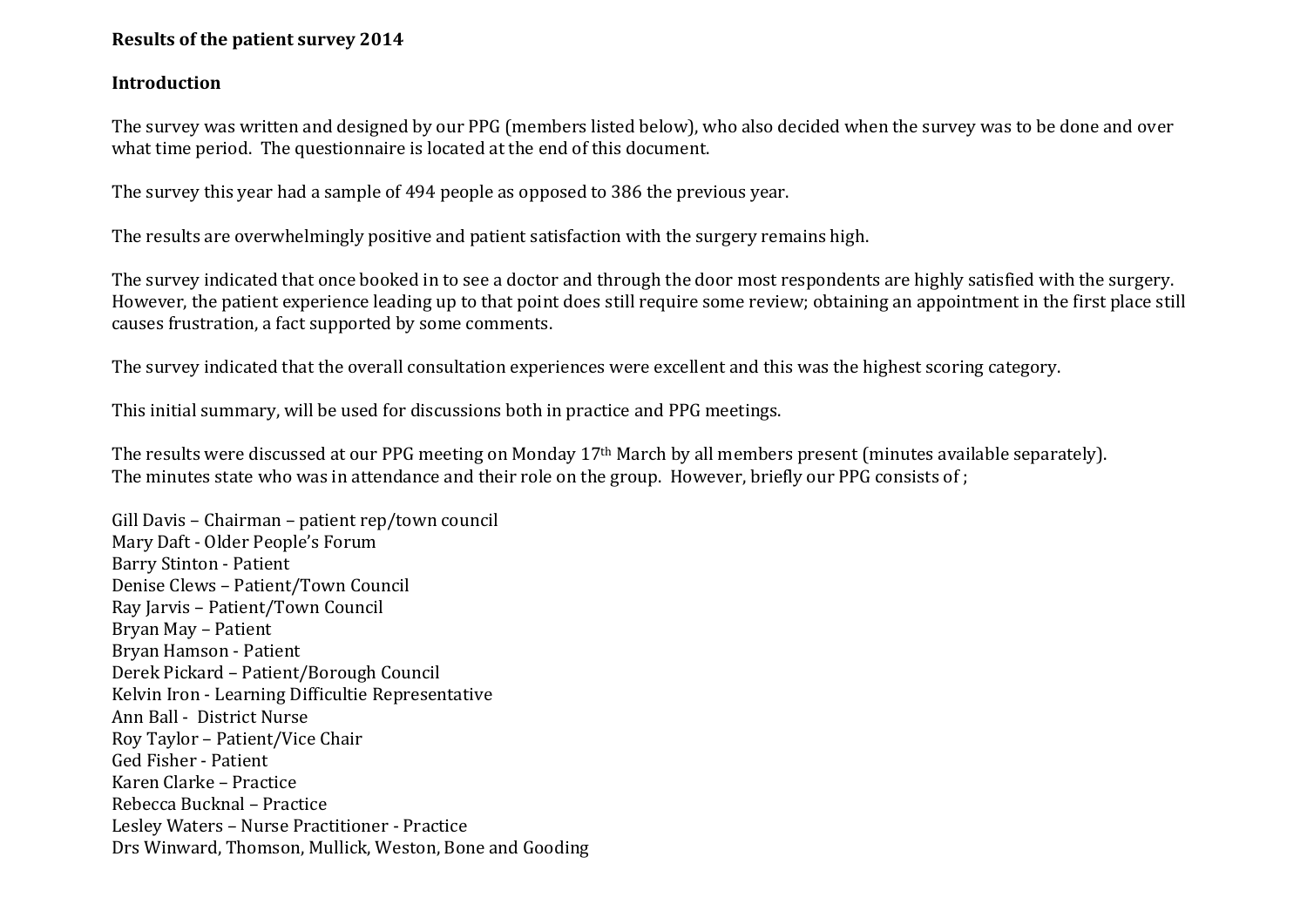# **Results of the patient survey 2014**

## **Introduction**

The survey was written and designed by our PPG (members listed below), who also decided when the survey was to be done and over what time period. The questionnaire is located at the end of this document.

The survey this year had a sample of 494 people as opposed to 386 the previous year.

The results are overwhelmingly positive and patient satisfaction with the surgery remains high.

The survey indicated that once booked in to see a doctor and through the door most respondents are highly satisfied with the surgery. However, the patient experience leading up to that point does still require some review; obtaining an appointment in the first place still causes frustration, a fact supported by some comments.

The survey indicated that the overall consultation experiences were excellent and this was the highest scoring category.

This initial summary, will be used for discussions both in practice and PPG meetings.

The results were discussed at our PPG meeting on Monday 17th March by all members present (minutes available separately). The minutes state who was in attendance and their role on the group. However, briefly our PPG consists of ;

Gill Davis – Chairman – patient rep/town council Mary Daft - Older People's Forum Barry Stinton - Patient Denise Clews – Patient/Town Council Ray Jarvis – Patient/Town Council Bryan May – Patient Bryan Hamson - Patient Derek Pickard – Patient/Borough Council Kelvin Iron - Learning Difficultie Representative Ann Ball - District Nurse Roy Taylor – Patient/Vice Chair Ged Fisher - Patient Karen Clarke – Practice Rebecca Bucknal – Practice Lesley Waters – Nurse Practitioner - Practice Drs Winward, Thomson, Mullick, Weston, Bone and Gooding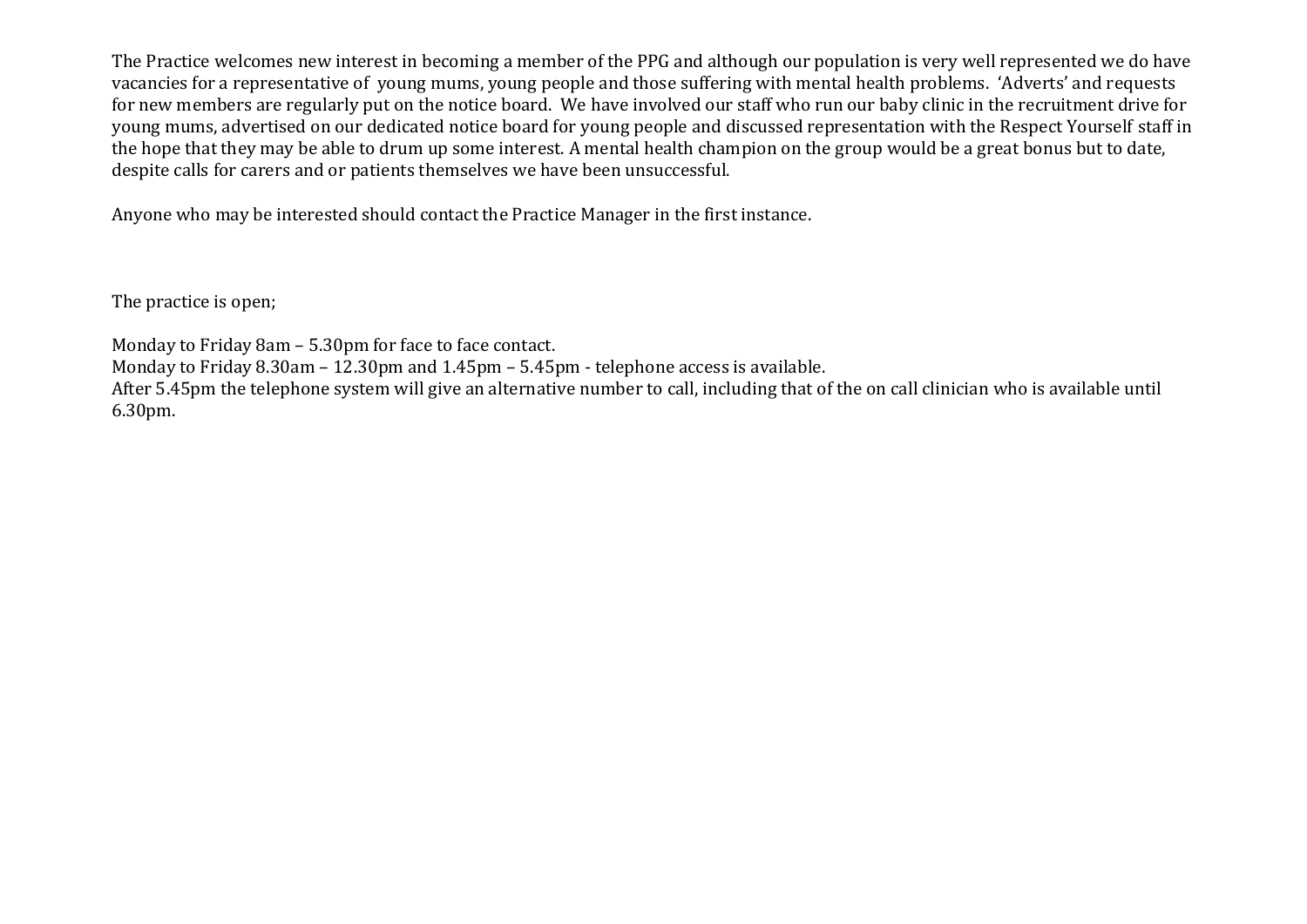The Practice welcomes new interest in becoming a member of the PPG and although our population is very well represented we do have vacancies for a representative of young mums, young people and those suffering with mental health problems. 'Adverts' and requests for new members are regularly put on the notice board. We have involved our staff who run our baby clinic in the recruitment drive for young mums, advertised on our dedicated notice board for young people and discussed representation with the Respect Yourself staff in the hope that they may be able to drum up some interest. A mental health champion on the group would be a great bonus but to date, despite calls for carers and or patients themselves we have been unsuccessful.

Anyone who may be interested should contact the Practice Manager in the first instance.

The practice is open;

Monday to Friday 8am – 5.30pm for face to face contact.

Monday to Friday 8.30am – 12.30pm and 1.45pm – 5.45pm - telephone access is available.

After 5.45pm the telephone system will give an alternative number to call, including that of the on call clinician who is available until 6.30pm.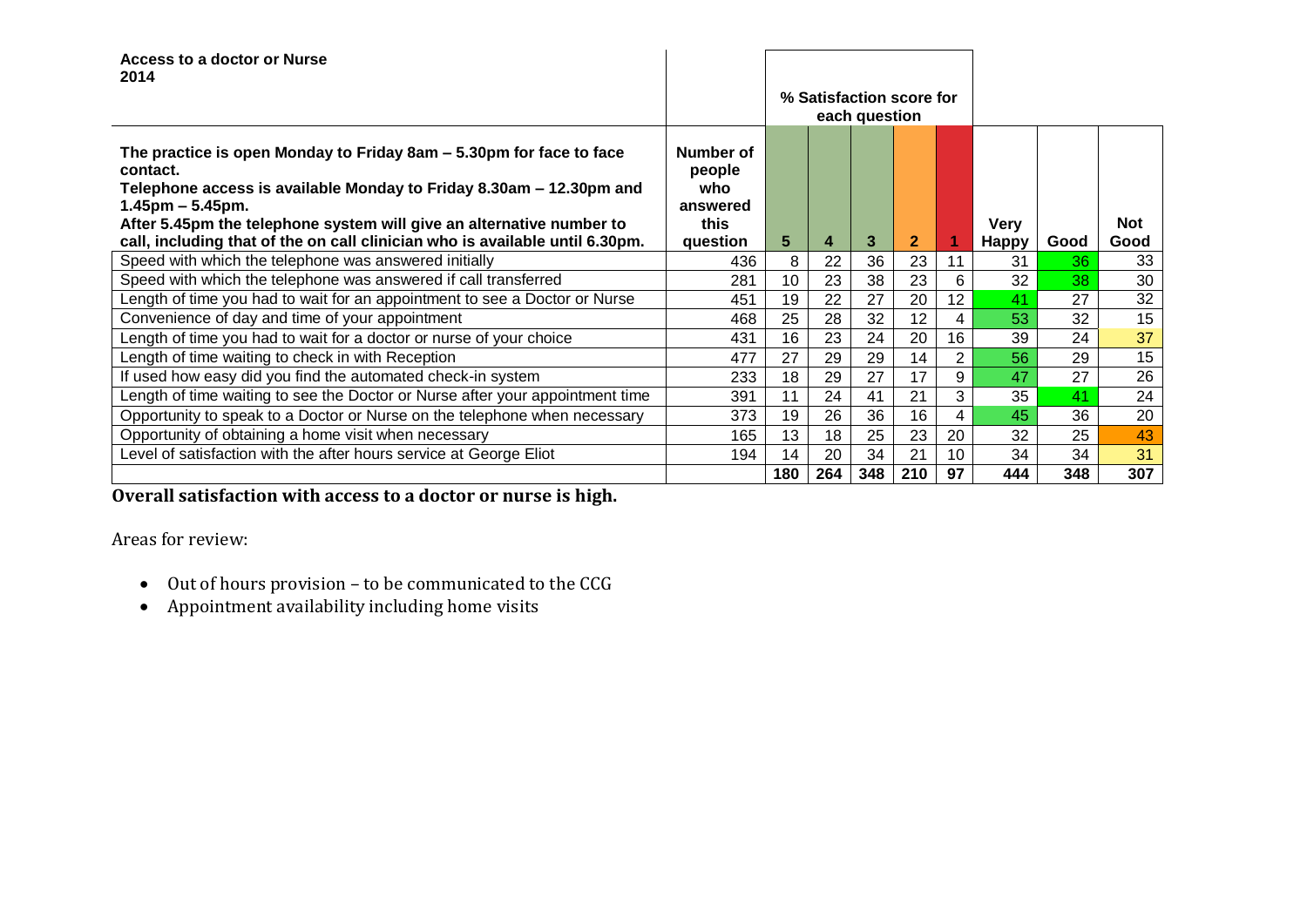| Access to a doctor or Nurse<br>2014                                                                                                                                                                                                                                                                                                   |                                                            |     |                          |               |              |                |                             |      |                    |
|---------------------------------------------------------------------------------------------------------------------------------------------------------------------------------------------------------------------------------------------------------------------------------------------------------------------------------------|------------------------------------------------------------|-----|--------------------------|---------------|--------------|----------------|-----------------------------|------|--------------------|
|                                                                                                                                                                                                                                                                                                                                       |                                                            |     | % Satisfaction score for | each question |              |                |                             |      |                    |
| The practice is open Monday to Friday 8am – 5.30pm for face to face<br>contact.<br>Telephone access is available Monday to Friday 8.30am – 12.30pm and<br>$1.45$ pm – 5.45pm.<br>After 5.45pm the telephone system will give an alternative number to<br>call, including that of the on call clinician who is available until 6.30pm. | Number of<br>people<br>who<br>answered<br>this<br>question | 5   | 4                        | 3             | $\mathbf{2}$ |                | <b>Very</b><br><b>Happy</b> | Good | <b>Not</b><br>Good |
| Speed with which the telephone was answered initially                                                                                                                                                                                                                                                                                 | 436                                                        | 8   | 22                       | 36            | 23           | 11             | 31                          | 36   | 33                 |
| Speed with which the telephone was answered if call transferred                                                                                                                                                                                                                                                                       | 281                                                        | 10  | 23                       | 38            | 23           | 6              | 32                          | 38   | 30                 |
| Length of time you had to wait for an appointment to see a Doctor or Nurse                                                                                                                                                                                                                                                            | 451                                                        | 19  | 22                       | 27            | 20           | 12             | 41                          | 27   | 32                 |
| Convenience of day and time of your appointment                                                                                                                                                                                                                                                                                       | 468                                                        | 25  | 28                       | 32            | 12           | 4              | 53                          | 32   | 15                 |
| Length of time you had to wait for a doctor or nurse of your choice                                                                                                                                                                                                                                                                   | 431                                                        | 16  | 23                       | 24            | 20           | 16             | 39                          | 24   | 37                 |
| Length of time waiting to check in with Reception                                                                                                                                                                                                                                                                                     | 477                                                        | 27  | 29                       | 29            | 14           | $\overline{2}$ | 56                          | 29   | 15                 |
| If used how easy did you find the automated check-in system                                                                                                                                                                                                                                                                           | 233                                                        | 18  | 29                       | 27            | 17           | 9              | 47                          | 27   | 26                 |
| Length of time waiting to see the Doctor or Nurse after your appointment time                                                                                                                                                                                                                                                         | 391                                                        | 11  | 24                       | 41            | 21           | 3              | 35                          | 41   | 24                 |
| Opportunity to speak to a Doctor or Nurse on the telephone when necessary                                                                                                                                                                                                                                                             | 373                                                        | 19  | 26                       | 36            | 16           | 4              | 45                          | 36   | 20                 |
| Opportunity of obtaining a home visit when necessary                                                                                                                                                                                                                                                                                  | 165                                                        | 13  | 18                       | 25            | 23           | 20             | 32                          | 25   | 43                 |
| Level of satisfaction with the after hours service at George Eliot                                                                                                                                                                                                                                                                    | 194                                                        | 14  | 20                       | 34            | 21           | 10             | 34                          | 34   | 31                 |
|                                                                                                                                                                                                                                                                                                                                       |                                                            | 180 | 264                      | 348           | 210          | 97             | 444                         | 348  | 307                |

**Overall satisfaction with access to a doctor or nurse is high.**

Areas for review:

- $\bullet$  Out of hours provision to be communicated to the CCG
- Appointment availability including home visits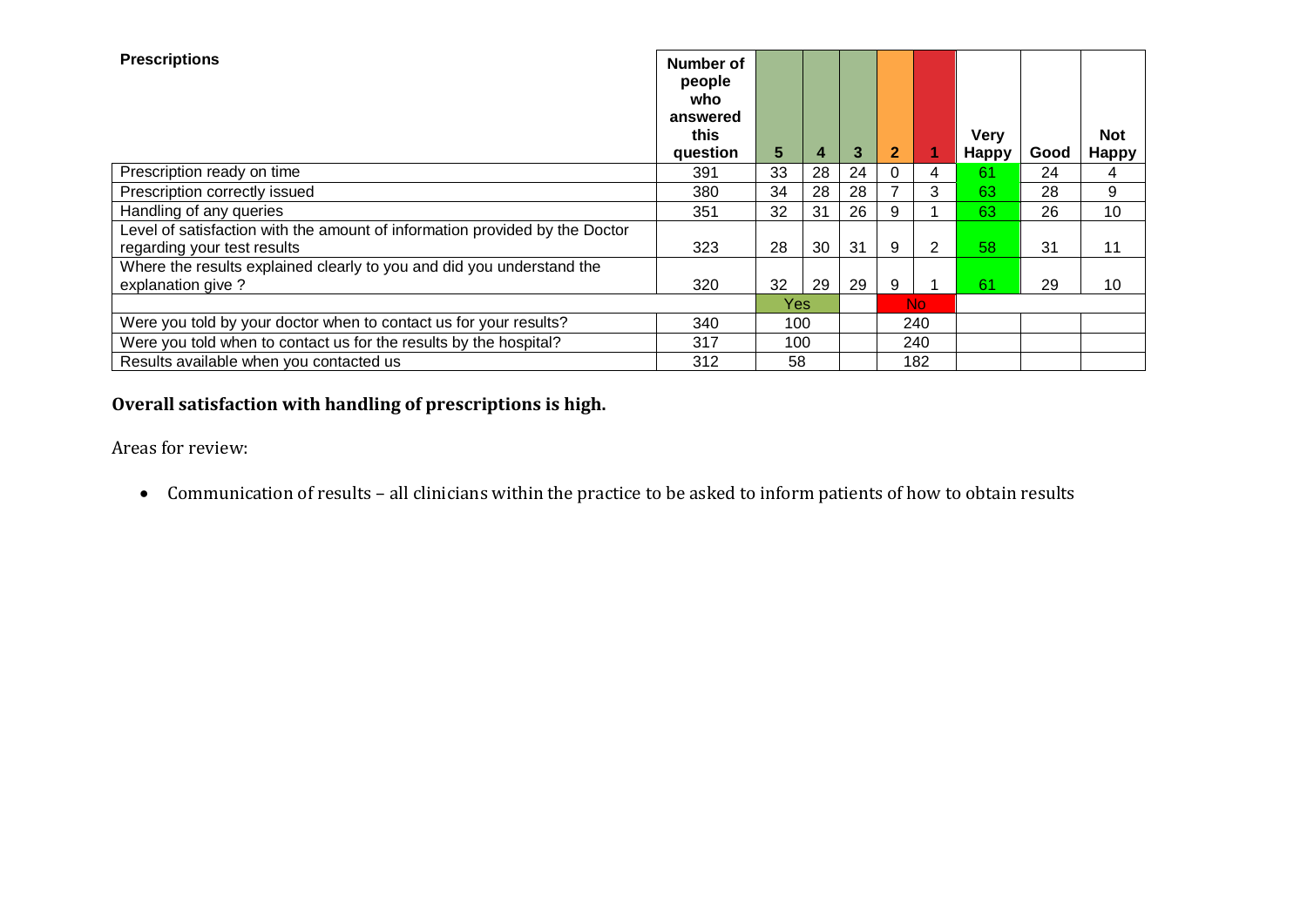| <b>Prescriptions</b>                                                                                       | Number of<br>people<br>who<br>answered<br>this<br>question | 5   | 4  | 3  | $\mathbf{2}$ |     | <b>Very</b><br><b>Happy</b> | Good | <b>Not</b><br><b>Happy</b> |
|------------------------------------------------------------------------------------------------------------|------------------------------------------------------------|-----|----|----|--------------|-----|-----------------------------|------|----------------------------|
| Prescription ready on time                                                                                 | 391                                                        | 33  | 28 | 24 | 0            | 4   | 61                          | 24   | 4                          |
| Prescription correctly issued                                                                              | 380                                                        | 34  | 28 | 28 |              | 3   | 63                          | 28   | 9                          |
| Handling of any queries                                                                                    | 351                                                        | 32  | 31 | 26 | 9            |     | 63                          | 26   | 10                         |
| Level of satisfaction with the amount of information provided by the Doctor<br>regarding your test results | 323                                                        | 28  | 30 | 31 | 9            | 2   | 58                          | 31   | 11                         |
| Where the results explained clearly to you and did you understand the                                      |                                                            |     |    |    |              |     |                             |      |                            |
| explanation give ?                                                                                         | 320                                                        | 32  | 29 | 29 | 9            |     | 61                          | 29   | 10                         |
|                                                                                                            |                                                            | Yes |    |    |              | No. |                             |      |                            |
| Were you told by your doctor when to contact us for your results?                                          | 340<br>100                                                 |     |    |    | 240          |     |                             |      |                            |
| Were you told when to contact us for the results by the hospital?                                          | 317                                                        | 100 |    |    |              | 240 |                             |      |                            |
| Results available when you contacted us                                                                    | 312                                                        | 58  |    |    |              | 182 |                             |      |                            |

**Overall satisfaction with handling of prescriptions is high.**

Areas for review:

Communication of results – all clinicians within the practice to be asked to inform patients of how to obtain results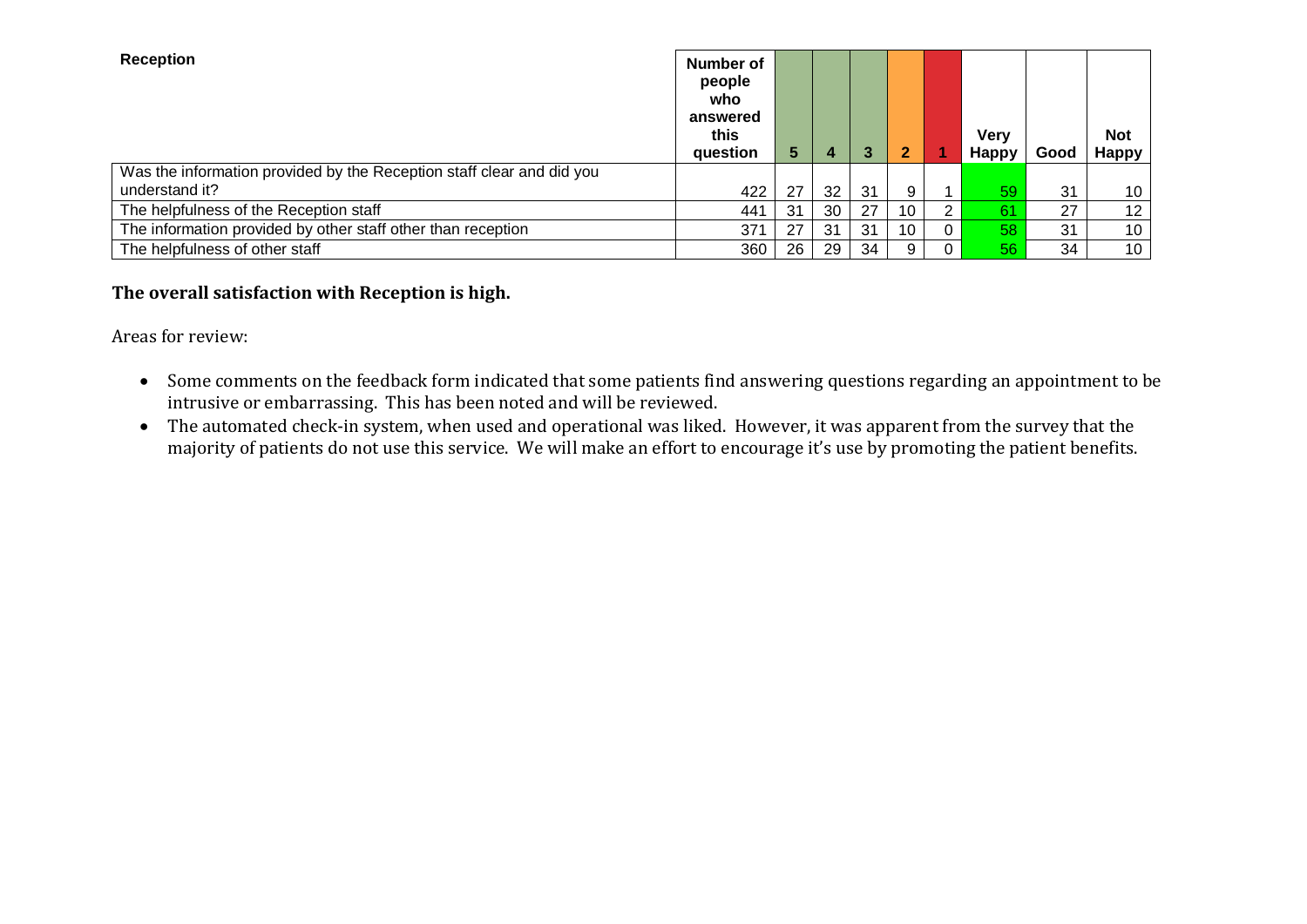| <b>Reception</b>                                                      | <b>Number of</b><br>people<br>who<br>answered<br>this<br>question | 5. | 4               | $\mathbf{3}$ | 2  |   | <b>Very</b><br><b>Happy</b> | Good | <b>Not</b><br><b>Happy</b> |
|-----------------------------------------------------------------------|-------------------------------------------------------------------|----|-----------------|--------------|----|---|-----------------------------|------|----------------------------|
| Was the information provided by the Reception staff clear and did you |                                                                   |    |                 |              |    |   |                             |      |                            |
| understand it?                                                        | 422                                                               | 27 | 32 <sup>2</sup> | 31           |    |   | 59                          | 31   | 10                         |
| The helpfulness of the Reception staff                                | 441                                                               | 31 | 30              | 27           | 10 | ົ | 61                          | 27   | 12 <sup>2</sup>            |
| The information provided by other staff other than reception          | 371                                                               | 27 | -31             | 31           | 10 | 0 | 58                          | 31   | 10                         |
| The helpfulness of other staff                                        | 360                                                               | 26 | 29              | 34           |    |   | 56                          | 34   | 10                         |

# **The overall satisfaction with Reception is high.**

Areas for review:

- Some comments on the feedback form indicated that some patients find answering questions regarding an appointment to be intrusive or embarrassing. This has been noted and will be reviewed.
- The automated check-in system, when used and operational was liked. However, it was apparent from the survey that the majority of patients do not use this service. We will make an effort to encourage it's use by promoting the patient benefits.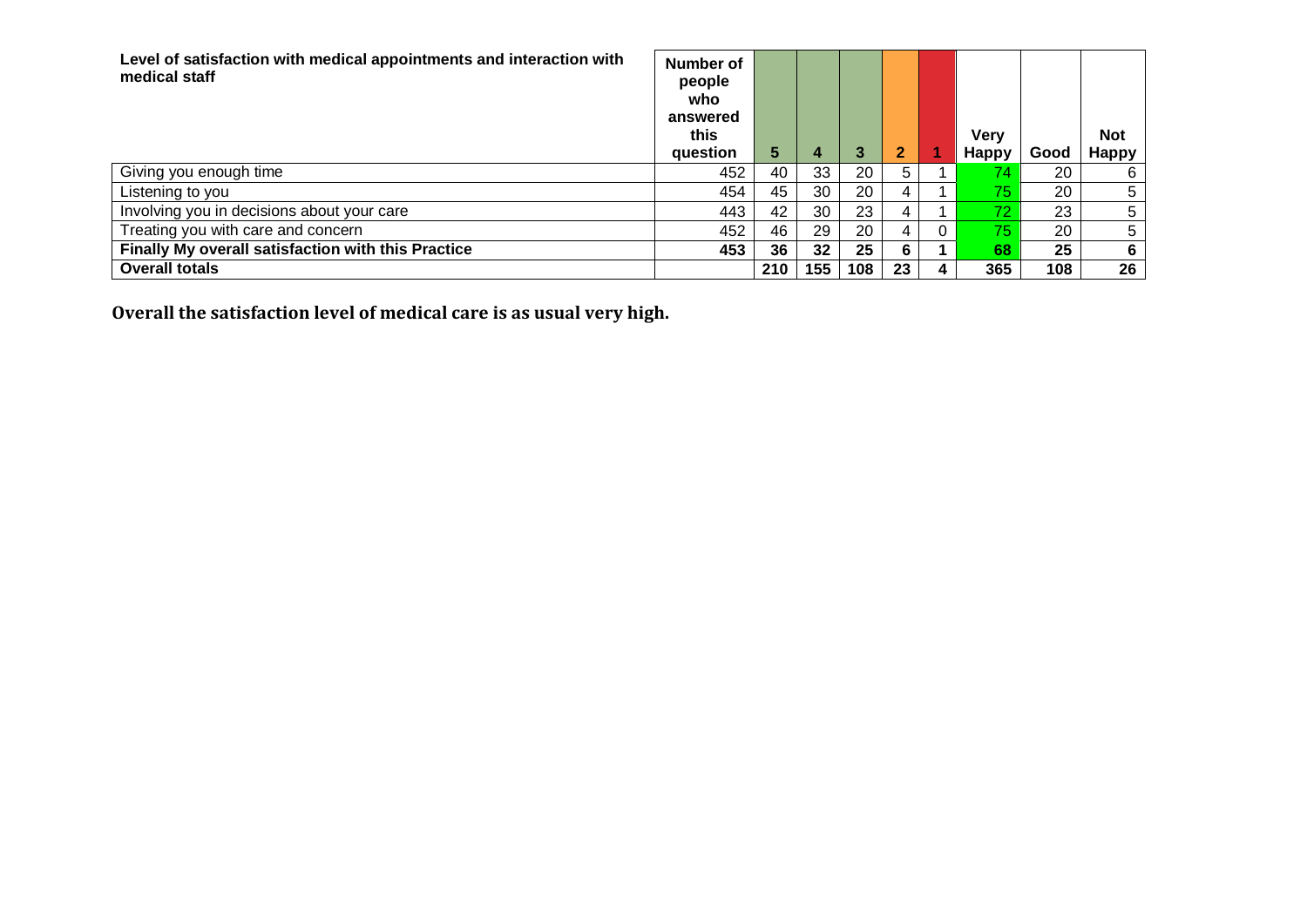| Level of satisfaction with medical appointments and interaction with<br>medical staff | Number of<br>people<br>who<br>answered<br>this<br>question | 5   | 4   | 3   |    |   | <b>Very</b><br><b>Happy</b> | Good | <b>Not</b><br><b>Happy</b> |
|---------------------------------------------------------------------------------------|------------------------------------------------------------|-----|-----|-----|----|---|-----------------------------|------|----------------------------|
| Giving you enough time                                                                | 452                                                        | 40  | 33  | 20  | 5. |   | 74.                         | 20   | 6                          |
| Listening to you                                                                      | 454                                                        | 45  | 30  | 20  | 4  |   | 75                          | 20   | 5                          |
| Involving you in decisions about your care                                            | 443                                                        | 42  | 30  | 23  | 4  |   | 72                          | 23   | 5                          |
| Treating you with care and concern                                                    | 452                                                        | 46  | 29  | 20  | 4  | 0 | 75                          | 20   | 5                          |
| Finally My overall satisfaction with this Practice                                    | 453                                                        | 36  | 32  | 25  | 6  |   | 68                          | 25   | 6                          |
| <b>Overall totals</b>                                                                 |                                                            | 210 | 155 | 108 | 23 | 4 | 365                         | 108  | 26                         |

**Overall the satisfaction level of medical care is as usual very high.**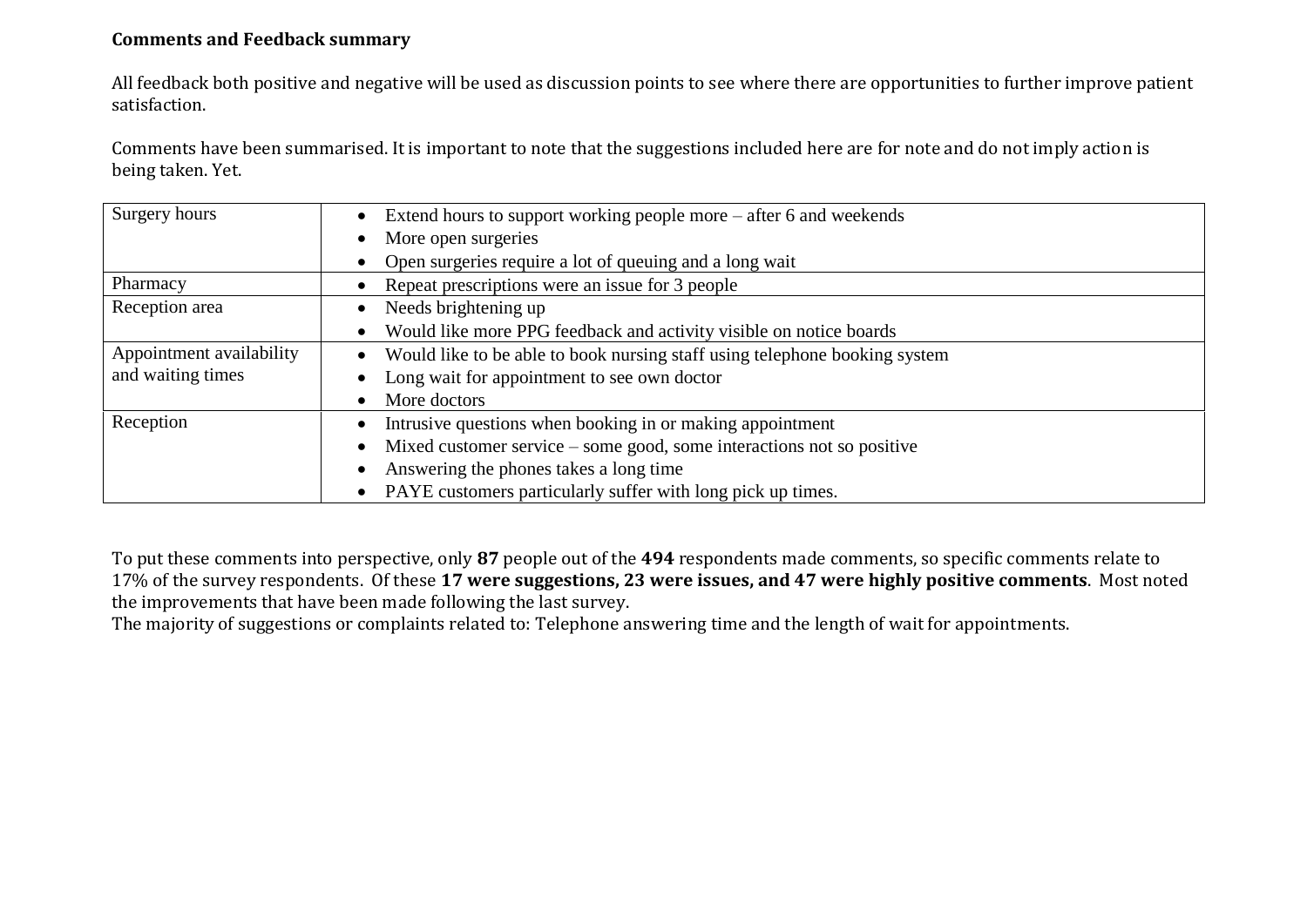# **Comments and Feedback summary**

All feedback both positive and negative will be used as discussion points to see where there are opportunities to further improve patient satisfaction.

Comments have been summarised. It is important to note that the suggestions included here are for note and do not imply action is being taken. Yet.

| Surgery hours            | Extend hours to support working people more – after 6 and weekends<br>$\bullet$    |
|--------------------------|------------------------------------------------------------------------------------|
|                          | More open surgeries                                                                |
|                          | Open surgeries require a lot of queuing and a long wait                            |
| Pharmacy                 | Repeat prescriptions were an issue for 3 people                                    |
| Reception area           | Needs brightening up<br>$\bullet$                                                  |
|                          | Would like more PPG feedback and activity visible on notice boards                 |
| Appointment availability | Would like to be able to book nursing staff using telephone booking system         |
| and waiting times        | Long wait for appointment to see own doctor                                        |
|                          | More doctors                                                                       |
| Reception                | Intrusive questions when booking in or making appointment                          |
|                          | Mixed customer service – some good, some interactions not so positive<br>$\bullet$ |
|                          | Answering the phones takes a long time<br>$\bullet$                                |
|                          | PAYE customers particularly suffer with long pick up times.                        |

To put these comments into perspective, only **87** people out of the **494** respondents made comments, so specific comments relate to 17% of the survey respondents. Of these **17 were suggestions, 23 were issues, and 47 were highly positive comments**. Most noted the improvements that have been made following the last survey.

The majority of suggestions or complaints related to: Telephone answering time and the length of wait for appointments.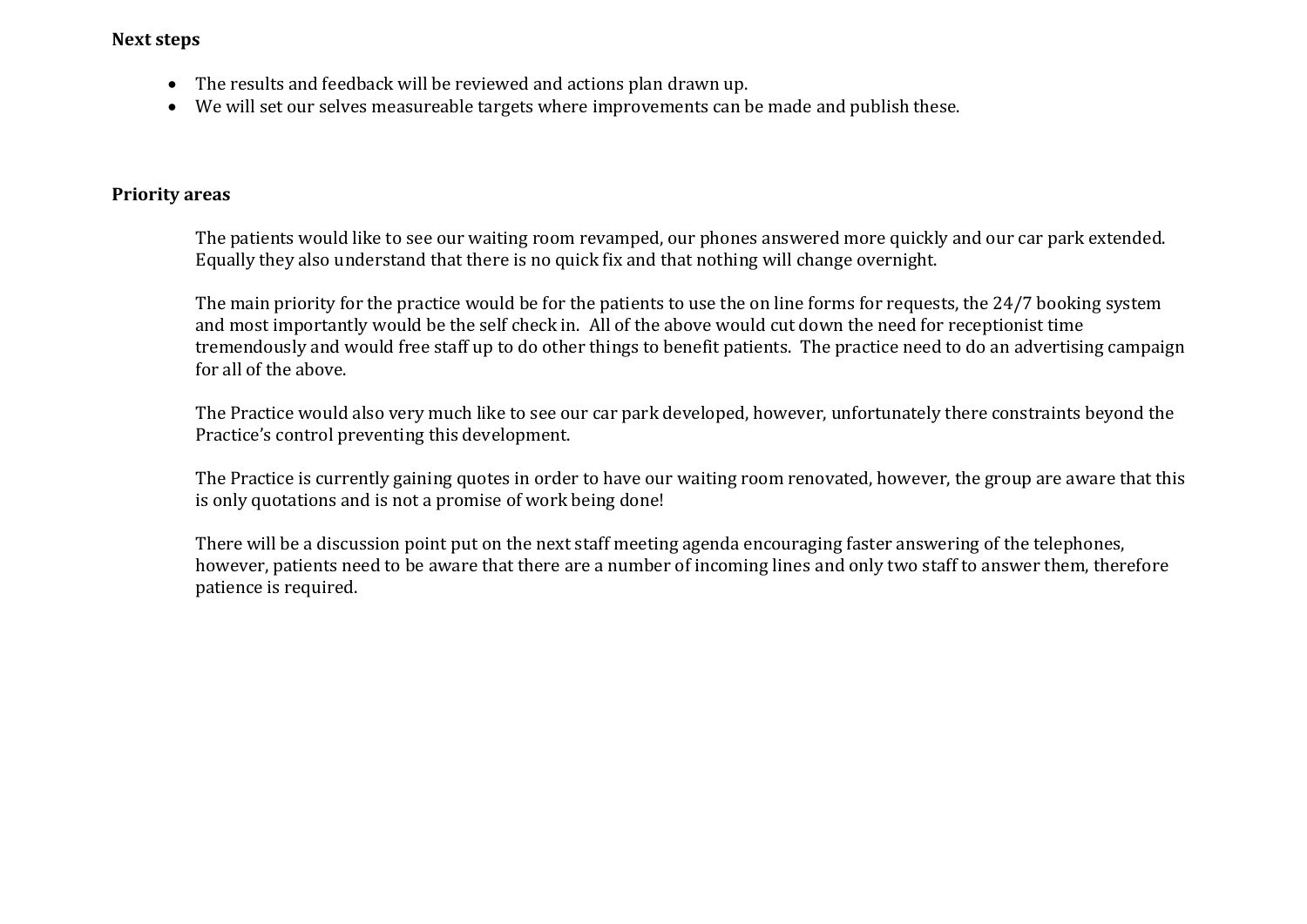## **Next steps**

- The results and feedback will be reviewed and actions plan drawn up.
- We will set our selves measureable targets where improvements can be made and publish these.

## **Priority areas**

The patients would like to see our waiting room revamped, our phones answered more quickly and our car park extended. Equally they also understand that there is no quick fix and that nothing will change overnight.

The main priority for the practice would be for the patients to use the on line forms for requests, the 24/7 booking system and most importantly would be the self check in. All of the above would cut down the need for receptionist time tremendously and would free staff up to do other things to benefit patients. The practice need to do an advertising campaign for all of the above.

The Practice would also very much like to see our car park developed, however, unfortunately there constraints beyond the Practice's control preventing this development.

The Practice is currently gaining quotes in order to have our waiting room renovated, however, the group are aware that this is only quotations and is not a promise of work being done!

There will be a discussion point put on the next staff meeting agenda encouraging faster answering of the telephones, however, patients need to be aware that there are a number of incoming lines and only two staff to answer them, therefore patience is required.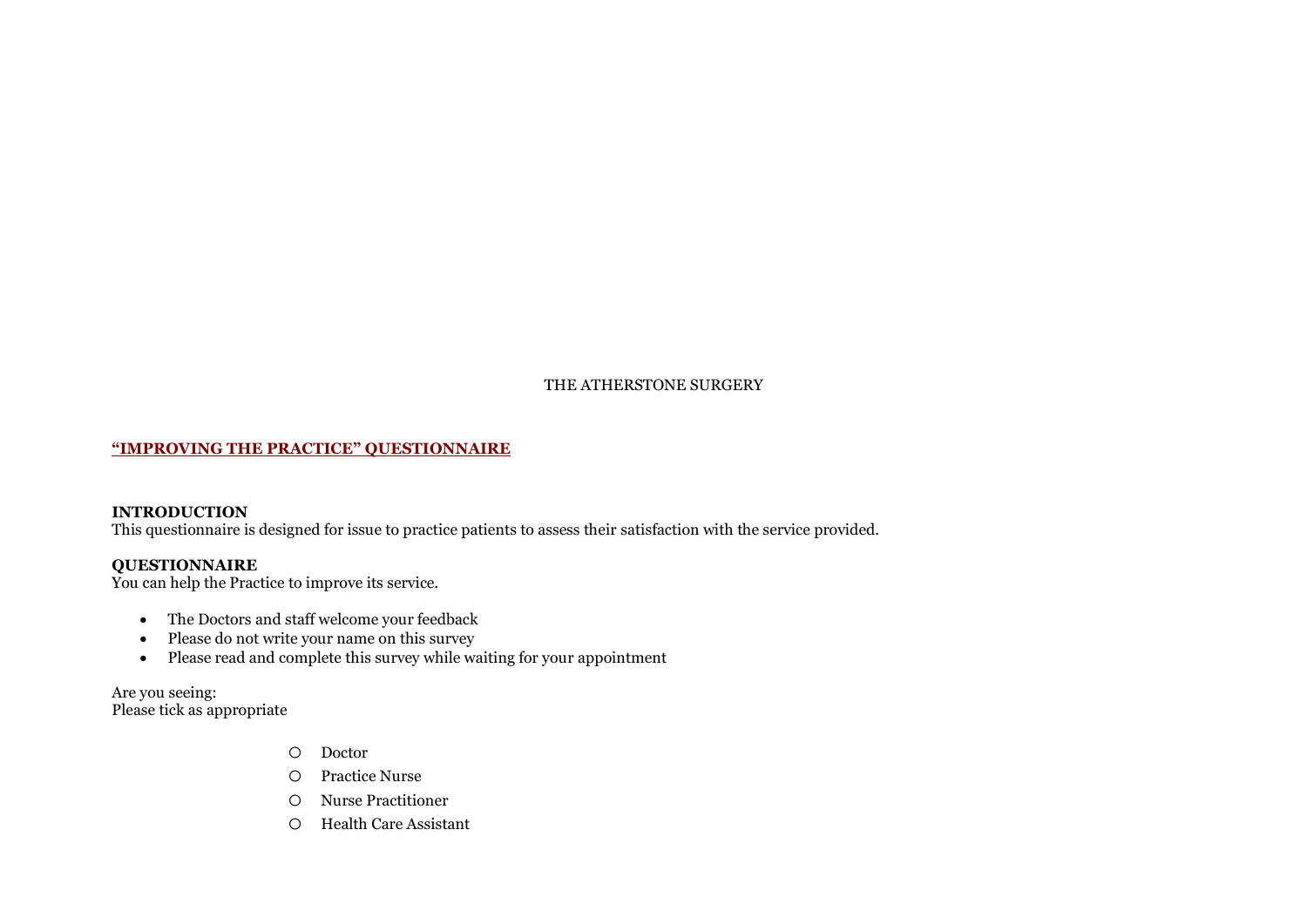THE ATHERSTONE SURGERY

#### **"IMPROVING THE PRACTICE" QUESTIONNAIRE**

#### **INTRODUCTION**

This questionnaire is designed for issue to practice patients to assess their satisfaction with the service provided.

### **QUESTIONNAIRE**

You can help the Practice to improve its service.

- The Doctors and staff welcome your feedback
- Please do not write your name on this survey
- Please read and complete this survey while waiting for your appointment

Are you seeing: Please tick as appropriate

- o Doctor
- o Practice Nurse
- o Nurse Practitioner
- o Health Care Assistant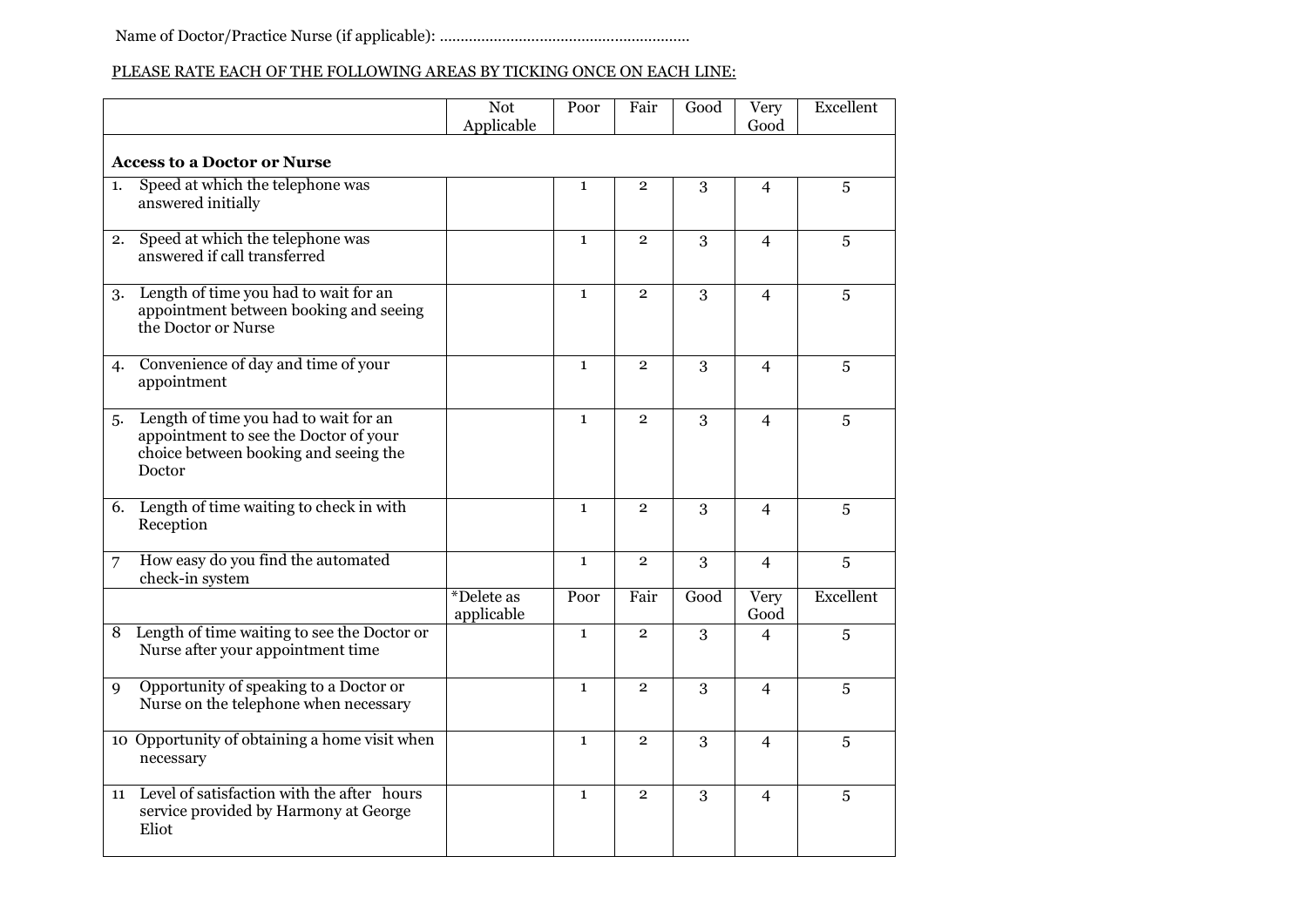# PLEASE RATE EACH OF THE FOLLOWING AREAS BY TICKING ONCE ON EACH LINE:

|    |                                                                                                                                   | <b>Not</b><br>Applicable | Poor         | Fair           | Good         | <b>Very</b><br>Good | Excellent |
|----|-----------------------------------------------------------------------------------------------------------------------------------|--------------------------|--------------|----------------|--------------|---------------------|-----------|
|    | <b>Access to a Doctor or Nurse</b>                                                                                                |                          |              |                |              |                     |           |
| 1. | Speed at which the telephone was<br>answered initially                                                                            |                          | $\mathbf{1}$ | $\overline{2}$ | 3            | $\overline{4}$      | 5         |
| 2. | Speed at which the telephone was<br>answered if call transferred                                                                  |                          | $\mathbf{1}$ | $\overline{2}$ | $\mathbf{3}$ | $\overline{4}$      | 5         |
| 3. | Length of time you had to wait for an<br>appointment between booking and seeing<br>the Doctor or Nurse                            |                          | $\mathbf{1}$ | $\overline{2}$ | 3            | $\overline{4}$      | 5         |
| 4. | Convenience of day and time of your<br>appointment                                                                                |                          | $\mathbf{1}$ | $\overline{2}$ | 3            | $\overline{4}$      | 5         |
| 5. | Length of time you had to wait for an<br>appointment to see the Doctor of your<br>choice between booking and seeing the<br>Doctor |                          | $\mathbf{1}$ | $\overline{2}$ | 3            | $\overline{4}$      | 5         |
| 6. | Length of time waiting to check in with<br>Reception                                                                              |                          | $\mathbf{1}$ | $\mathbf{2}$   | 3            | $\overline{4}$      | 5         |
| 7  | How easy do you find the automated<br>check-in system                                                                             |                          | $\mathbf{1}$ | $\overline{2}$ | 3            | $\overline{4}$      | 5         |
|    |                                                                                                                                   | *Delete as<br>applicable | Poor         | Fair           | Good         | Very<br>Good        | Excellent |
| 8  | Length of time waiting to see the Doctor or<br>Nurse after your appointment time                                                  |                          | $\mathbf{1}$ | $\overline{2}$ | 3            | $\overline{4}$      | 5         |
| 9  | Opportunity of speaking to a Doctor or<br>Nurse on the telephone when necessary                                                   |                          | $\mathbf{1}$ | $\overline{2}$ | 3            | $\overline{4}$      | 5         |
|    | 10 Opportunity of obtaining a home visit when<br>necessary                                                                        |                          | $\mathbf{1}$ | $\mathbf{2}$   | 3            | $\overline{4}$      | 5         |
| 11 | Level of satisfaction with the after hours<br>service provided by Harmony at George<br>Eliot                                      |                          | $\mathbf{1}$ | $\overline{2}$ | 3            | $\overline{4}$      | 5         |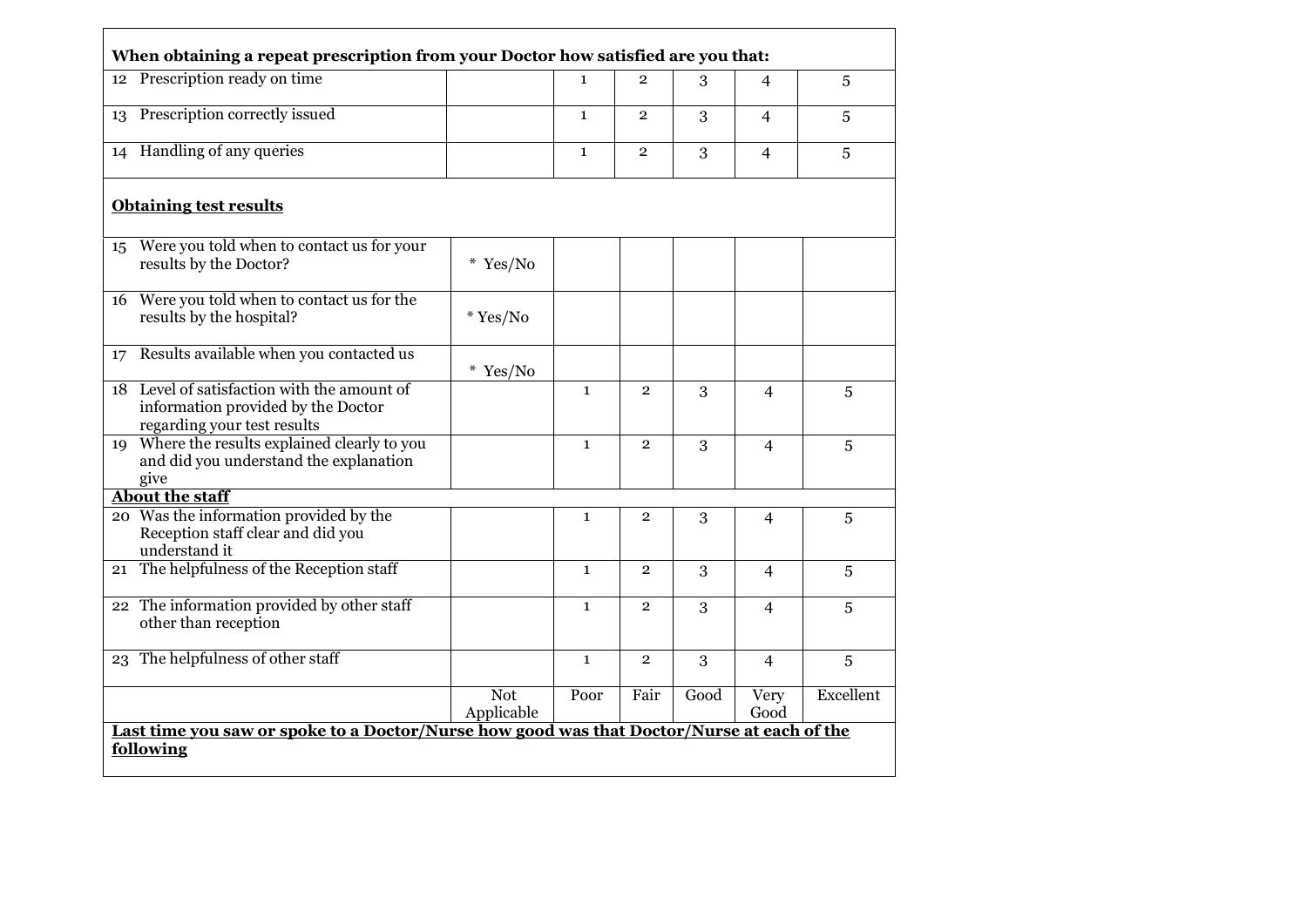|    | 12 Prescription ready on time                                                                                    |                   | $\mathbf{1}$                                                                                       | $\overline{2}$ | 3    | $\overline{4}$ | 5         |
|----|------------------------------------------------------------------------------------------------------------------|-------------------|----------------------------------------------------------------------------------------------------|----------------|------|----------------|-----------|
| 13 | Prescription correctly issued                                                                                    |                   | $\mathbf{1}$                                                                                       | $\mathbf{2}$   | 3    | $\overline{4}$ | 5         |
| 14 | Handling of any queries                                                                                          |                   | $\mathbf{1}$                                                                                       | $\overline{2}$ | 3    | $\overline{4}$ | 5         |
|    | <b>Obtaining test results</b>                                                                                    |                   |                                                                                                    |                |      |                |           |
| 15 | Were you told when to contact us for your<br>results by the Doctor?                                              | $*$ Yes/No        |                                                                                                    |                |      |                |           |
|    | 16 Were you told when to contact us for the<br>results by the hospital?                                          | $*$ Yes/No        |                                                                                                    |                |      |                |           |
| 17 | Results available when you contacted us                                                                          | $*$ Yes/No        |                                                                                                    |                |      |                |           |
|    | 18 Level of satisfaction with the amount of<br>information provided by the Doctor<br>regarding your test results |                   | $\mathbf{1}$                                                                                       | $\overline{2}$ | 3    | $\overline{4}$ | 5         |
|    | 19 Where the results explained clearly to you<br>and did you understand the explanation<br>give                  |                   | $\mathbf{1}$                                                                                       | $\overline{2}$ | 3    | $\overline{4}$ | 5         |
|    | <b>About the staff</b>                                                                                           |                   |                                                                                                    |                |      |                |           |
|    | 20 Was the information provided by the<br>Reception staff clear and did you<br>understand it                     |                   | $\mathbf{1}$                                                                                       | $\overline{2}$ | 3    | 4              | 5         |
| 21 | The helpfulness of the Reception staff                                                                           |                   | $\mathbf{1}$                                                                                       | $\overline{2}$ | 3    | $\overline{4}$ | 5         |
|    | 22 The information provided by other staff<br>other than reception                                               |                   | $\mathbf{1}$                                                                                       | $\overline{2}$ | 3    | $\overline{4}$ | 5         |
|    | 23 The helpfulness of other staff                                                                                |                   | $\mathbf{1}$                                                                                       | $\overline{2}$ | 3    | $\overline{4}$ | 5         |
|    |                                                                                                                  | Not<br>Applicable | Poor<br>Last time you saw or spoke to a Doctor/Nurse how good was that Doctor/Nurse at each of the | Fair           | Good | Very<br>Good   | Excellent |